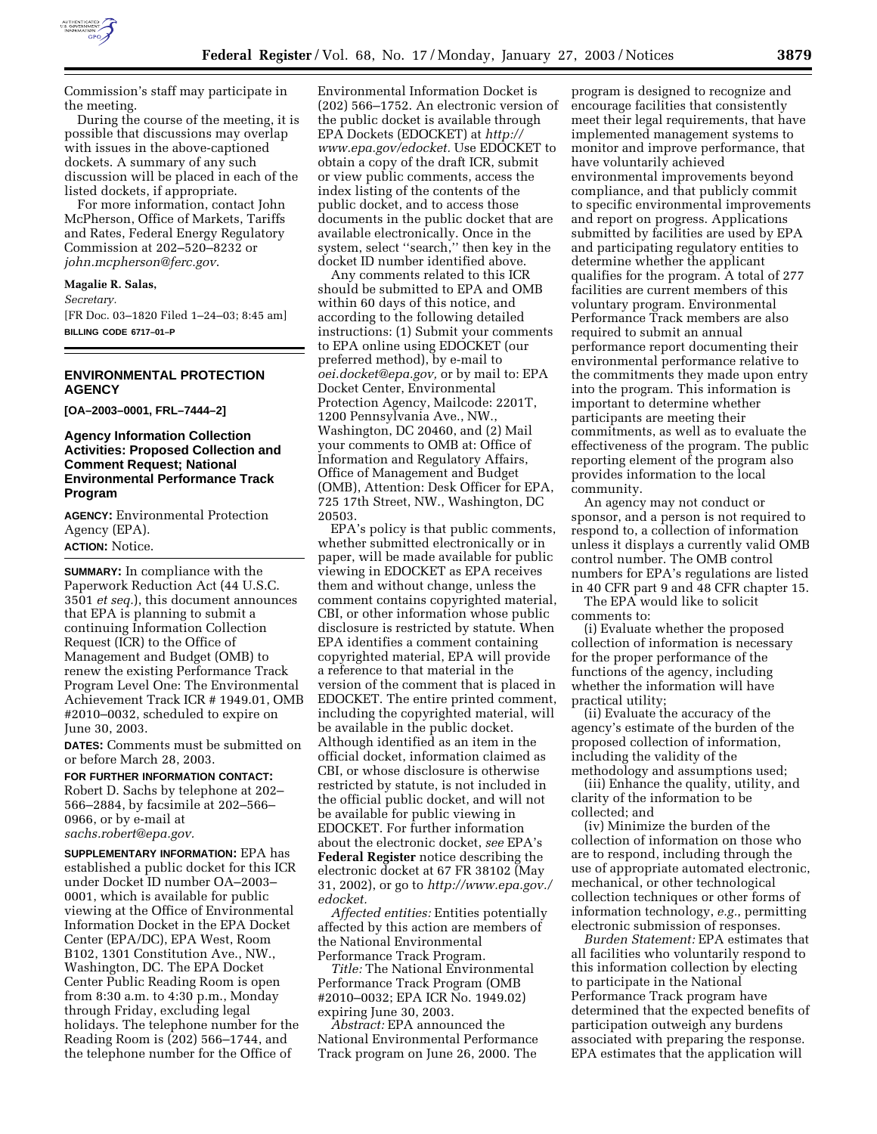

Commission's staff may participate in the meeting.

During the course of the meeting, it is possible that discussions may overlap with issues in the above-captioned dockets. A summary of any such discussion will be placed in each of the listed dockets, if appropriate.

For more information, contact John McPherson, Office of Markets, Tariffs and Rates, Federal Energy Regulatory Commission at 202–520–8232 or *john.mcpherson@ferc.gov*.

#### **Magalie R. Salas,**

*Secretary.*

[FR Doc. 03–1820 Filed 1–24–03; 8:45 am] **BILLING CODE 6717–01–P**

## **ENVIRONMENTAL PROTECTION AGENCY**

**[OA–2003–0001, FRL–7444–2]** 

# **Agency Information Collection Activities: Proposed Collection and Comment Request; National Environmental Performance Track Program**

**AGENCY:** Environmental Protection Agency (EPA). **ACTION:** Notice.

**SUMMARY:** In compliance with the Paperwork Reduction Act (44 U.S.C. 3501 *et seq.*), this document announces that EPA is planning to submit a continuing Information Collection Request (ICR) to the Office of Management and Budget (OMB) to renew the existing Performance Track Program Level One: The Environmental Achievement Track ICR # 1949.01, OMB #2010–0032, scheduled to expire on June 30, 2003.

**DATES:** Comments must be submitted on or before March 28, 2003.

**FOR FURTHER INFORMATION CONTACT:** Robert D. Sachs by telephone at 202– 566–2884, by facsimile at 202–566– 0966, or by e-mail at *sachs.robert@epa.gov.*

**SUPPLEMENTARY INFORMATION:** EPA has established a public docket for this ICR under Docket ID number OA–2003– 0001, which is available for public viewing at the Office of Environmental Information Docket in the EPA Docket Center (EPA/DC), EPA West, Room B102, 1301 Constitution Ave., NW., Washington, DC. The EPA Docket Center Public Reading Room is open from 8:30 a.m. to 4:30 p.m., Monday through Friday, excluding legal holidays. The telephone number for the Reading Room is (202) 566–1744, and the telephone number for the Office of

Environmental Information Docket is (202) 566–1752. An electronic version of the public docket is available through EPA Dockets (EDOCKET) at *http:// www.epa.gov/edocket.* Use EDOCKET to obtain a copy of the draft ICR, submit or view public comments, access the index listing of the contents of the public docket, and to access those documents in the public docket that are available electronically. Once in the system, select ''search,'' then key in the docket ID number identified above.

Any comments related to this ICR should be submitted to EPA and OMB within 60 days of this notice, and according to the following detailed instructions: (1) Submit your comments to EPA online using EDOCKET (our preferred method), by e-mail to *oei.docket@epa.gov,* or by mail to: EPA Docket Center, Environmental Protection Agency, Mailcode: 2201T, 1200 Pennsylvania Ave., NW., Washington, DC 20460, and (2) Mail your comments to OMB at: Office of Information and Regulatory Affairs, Office of Management and Budget (OMB), Attention: Desk Officer for EPA, 725 17th Street, NW., Washington, DC 20503.

EPA's policy is that public comments, whether submitted electronically or in paper, will be made available for public viewing in EDOCKET as EPA receives them and without change, unless the comment contains copyrighted material, CBI, or other information whose public disclosure is restricted by statute. When EPA identifies a comment containing copyrighted material, EPA will provide a reference to that material in the version of the comment that is placed in EDOCKET. The entire printed comment, including the copyrighted material, will be available in the public docket. Although identified as an item in the official docket, information claimed as CBI, or whose disclosure is otherwise restricted by statute, is not included in the official public docket, and will not be available for public viewing in EDOCKET. For further information about the electronic docket, *see* EPA's **Federal Register** notice describing the electronic docket at 67 FR 38102 (May 31, 2002), or go to *http://www.epa.gov./ edocket.*

*Affected entities:* Entities potentially affected by this action are members of the National Environmental Performance Track Program.

*Title:* The National Environmental Performance Track Program (OMB #2010–0032; EPA ICR No. 1949.02) expiring June 30, 2003.

*Abstract:* EPA announced the National Environmental Performance Track program on June 26, 2000. The

program is designed to recognize and encourage facilities that consistently meet their legal requirements, that have implemented management systems to monitor and improve performance, that have voluntarily achieved environmental improvements beyond compliance, and that publicly commit to specific environmental improvements and report on progress. Applications submitted by facilities are used by EPA and participating regulatory entities to determine whether the applicant qualifies for the program. A total of 277 facilities are current members of this voluntary program. Environmental Performance Track members are also required to submit an annual performance report documenting their environmental performance relative to the commitments they made upon entry into the program. This information is important to determine whether participants are meeting their commitments, as well as to evaluate the effectiveness of the program. The public reporting element of the program also provides information to the local community.

An agency may not conduct or sponsor, and a person is not required to respond to, a collection of information unless it displays a currently valid OMB control number. The OMB control numbers for EPA's regulations are listed in 40 CFR part 9 and 48 CFR chapter 15.

The EPA would like to solicit comments to:

(i) Evaluate whether the proposed collection of information is necessary for the proper performance of the functions of the agency, including whether the information will have practical utility;

(ii) Evaluate the accuracy of the agency's estimate of the burden of the proposed collection of information, including the validity of the methodology and assumptions used;

(iii) Enhance the quality, utility, and clarity of the information to be collected; and

(iv) Minimize the burden of the collection of information on those who are to respond, including through the use of appropriate automated electronic, mechanical, or other technological collection techniques or other forms of information technology, *e.g.*, permitting electronic submission of responses.

*Burden Statement:* EPA estimates that all facilities who voluntarily respond to this information collection by electing to participate in the National Performance Track program have determined that the expected benefits of participation outweigh any burdens associated with preparing the response. EPA estimates that the application will